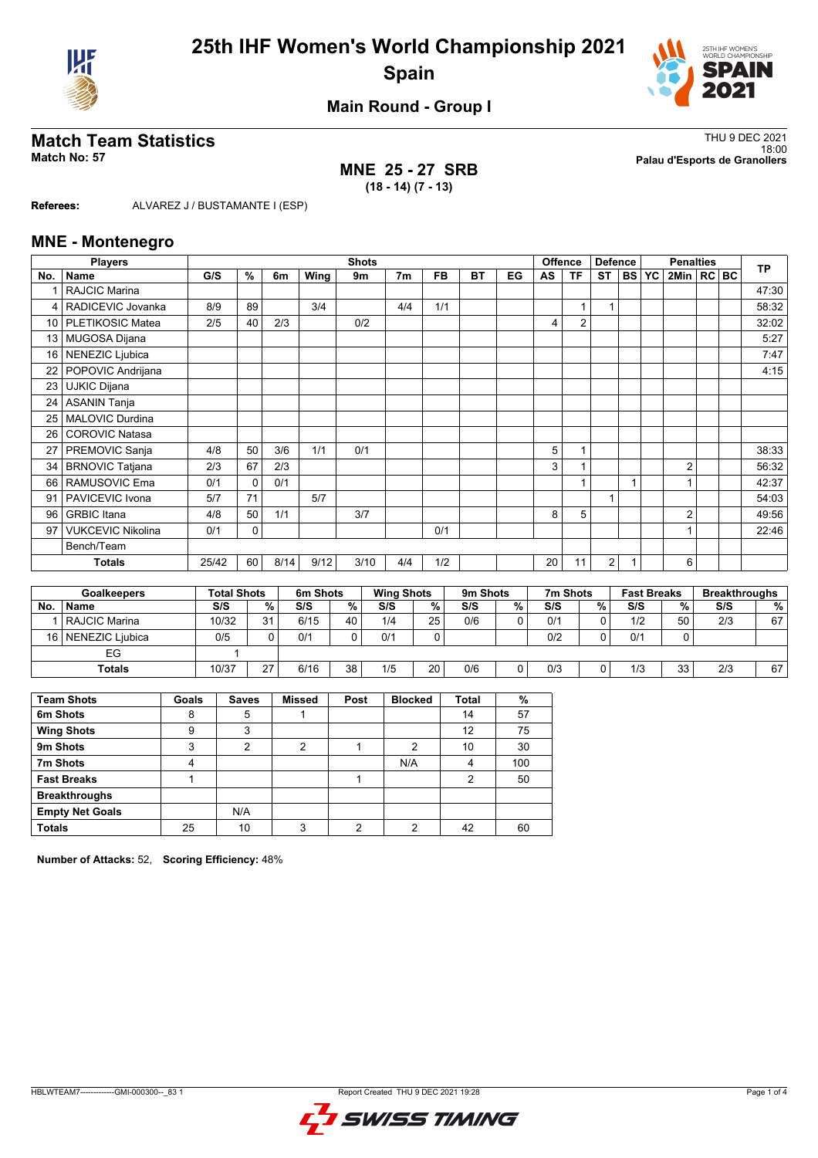



**Main Round - Group I**

## **MNE 25 - 27 SRB (18 - 14) (7 - 13)**

**Match Team Statistics** Thu 9 DEC 2021 18:00 **Match No: 57 Palau d'Esports de Granollers**

**Referees:** ALVAREZ J / BUSTAMANTE I (ESP)

### **MNE - Montenegro**

|                 | <b>Players</b>           |       |          |      |      | <b>Shots</b> |                |           |           |    | <b>Offence</b><br><b>Defence</b><br><b>Penalties</b> |                |                |           |           | <b>TP</b>      |  |       |
|-----------------|--------------------------|-------|----------|------|------|--------------|----------------|-----------|-----------|----|------------------------------------------------------|----------------|----------------|-----------|-----------|----------------|--|-------|
| No.             | <b>Name</b>              | G/S   | %        | 6m   | Wing | 9m           | 7 <sub>m</sub> | <b>FB</b> | <b>BT</b> | EG | AS                                                   | <b>TF</b>      | <b>ST</b>      | <b>BS</b> | <b>YC</b> | 2Min   RC   BC |  |       |
|                 | RAJCIC Marina            |       |          |      |      |              |                |           |           |    |                                                      |                |                |           |           |                |  | 47:30 |
| 4               | RADICEVIC Jovanka        | 8/9   | 89       |      | 3/4  |              | 4/4            | 1/1       |           |    |                                                      | $\mathbf{1}$   | 1              |           |           |                |  | 58:32 |
|                 | 10   PLETIKOSIC Matea    | 2/5   | 40       | 2/3  |      | 0/2          |                |           |           |    | 4                                                    | $\overline{2}$ |                |           |           |                |  | 32:02 |
| 13 <sup>1</sup> | MUGOSA Dijana            |       |          |      |      |              |                |           |           |    |                                                      |                |                |           |           |                |  | 5:27  |
| 16 <sup>1</sup> | NENEZIC Ljubica          |       |          |      |      |              |                |           |           |    |                                                      |                |                |           |           |                |  | 7:47  |
| 22              | POPOVIC Andrijana        |       |          |      |      |              |                |           |           |    |                                                      |                |                |           |           |                |  | 4:15  |
| 23              | <b>UJKIC Dijana</b>      |       |          |      |      |              |                |           |           |    |                                                      |                |                |           |           |                |  |       |
| 24              | <b>ASANIN Tanja</b>      |       |          |      |      |              |                |           |           |    |                                                      |                |                |           |           |                |  |       |
| 25              | <b>MALOVIC Durdina</b>   |       |          |      |      |              |                |           |           |    |                                                      |                |                |           |           |                |  |       |
| 26              | <b>COROVIC Natasa</b>    |       |          |      |      |              |                |           |           |    |                                                      |                |                |           |           |                |  |       |
| 27              | PREMOVIC Sanja           | 4/8   | 50       | 3/6  | 1/1  | 0/1          |                |           |           |    | 5                                                    | 1              |                |           |           |                |  | 38:33 |
| 34              | <b>BRNOVIC Tatjana</b>   | 2/3   | 67       | 2/3  |      |              |                |           |           |    | 3                                                    | 1              |                |           |           | $\overline{2}$ |  | 56:32 |
| 66              | RAMUSOVIC Ema            | 0/1   | $\Omega$ | 0/1  |      |              |                |           |           |    |                                                      | 1              |                |           |           |                |  | 42:37 |
| 91              | PAVICEVIC Ivona          | 5/7   | 71       |      | 5/7  |              |                |           |           |    |                                                      |                |                |           |           |                |  | 54:03 |
| 96              | <b>GRBIC</b> Itana       | 4/8   | 50       | 1/1  |      | 3/7          |                |           |           |    | 8                                                    | 5              |                |           |           | $\overline{2}$ |  | 49:56 |
| 97              | <b>VUKCEVIC Nikolina</b> | 0/1   | 0        |      |      |              |                | 0/1       |           |    |                                                      |                |                |           |           | 1              |  | 22:46 |
|                 | Bench/Team               |       |          |      |      |              |                |           |           |    |                                                      |                |                |           |           |                |  |       |
|                 | <b>Totals</b>            | 25/42 | 60       | 8/14 | 9/12 | 3/10         | 4/4            | 1/2       |           |    | 20                                                   | 11             | $\overline{2}$ | 1         |           | 6              |  |       |
|                 |                          |       |          |      |      |              |                |           |           |    |                                                      |                |                |           |           |                |  |       |

| <b>Goalkeepers</b> |                 |       | <b>Total Shots</b> |      | 6m Shots |     | <b>Wing Shots</b> |     | 9m Shots | 7m Shots |        | <b>Fast Breaks</b> |    | <b>Breakthroughs</b> |    |
|--------------------|-----------------|-------|--------------------|------|----------|-----|-------------------|-----|----------|----------|--------|--------------------|----|----------------------|----|
| No.                | <b>Name</b>     | S/S   | %.                 | S/S  | %        | S/S | %                 | S/S | %        | S/S      | $\%$ . | S/S                | %  | S/S                  | %  |
|                    | RAJCIC Marina   | 10/32 | 31                 | 6/15 | 40       | 1/4 | 25                | 0/6 | 0        | 0/1      |        | 1/2                | 50 | 2/3                  | 67 |
| 16 I               | NENEZIC Liubica | 0/5   |                    | 0/1  |          | 0/1 |                   |     |          | 0/2      |        | 0/1                |    |                      |    |
|                    | EG              |       |                    |      |          |     |                   |     |          |          |        |                    |    |                      |    |
|                    | <b>Totals</b>   | 10/37 | 27                 | 6/16 | 38       | 1/5 | 20                | 0/6 | 0        | 0/3      |        | 1/3                | 33 | 2/3                  | 67 |

| <b>Team Shots</b>      | Goals | <b>Saves</b> | <b>Missed</b>  | Post | <b>Blocked</b> | <b>Total</b> | %   |
|------------------------|-------|--------------|----------------|------|----------------|--------------|-----|
| 6m Shots               | 8     | 5            |                |      |                | 14           | 57  |
| <b>Wing Shots</b>      | 9     | 3            |                |      |                | 12           | 75  |
| 9m Shots               | 3     | 2            | $\overline{2}$ |      | 2              | 10           | 30  |
| 7m Shots               | 4     |              |                |      | N/A            | 4            | 100 |
| <b>Fast Breaks</b>     |       |              |                |      |                | 2            | 50  |
| <b>Breakthroughs</b>   |       |              |                |      |                |              |     |
| <b>Empty Net Goals</b> |       | N/A          |                |      |                |              |     |
| <b>Totals</b>          | 25    | 10           | 3              | 2    | 2              | 42           | 60  |

**Number of Attacks:** 52, **Scoring Efficiency:** 48%

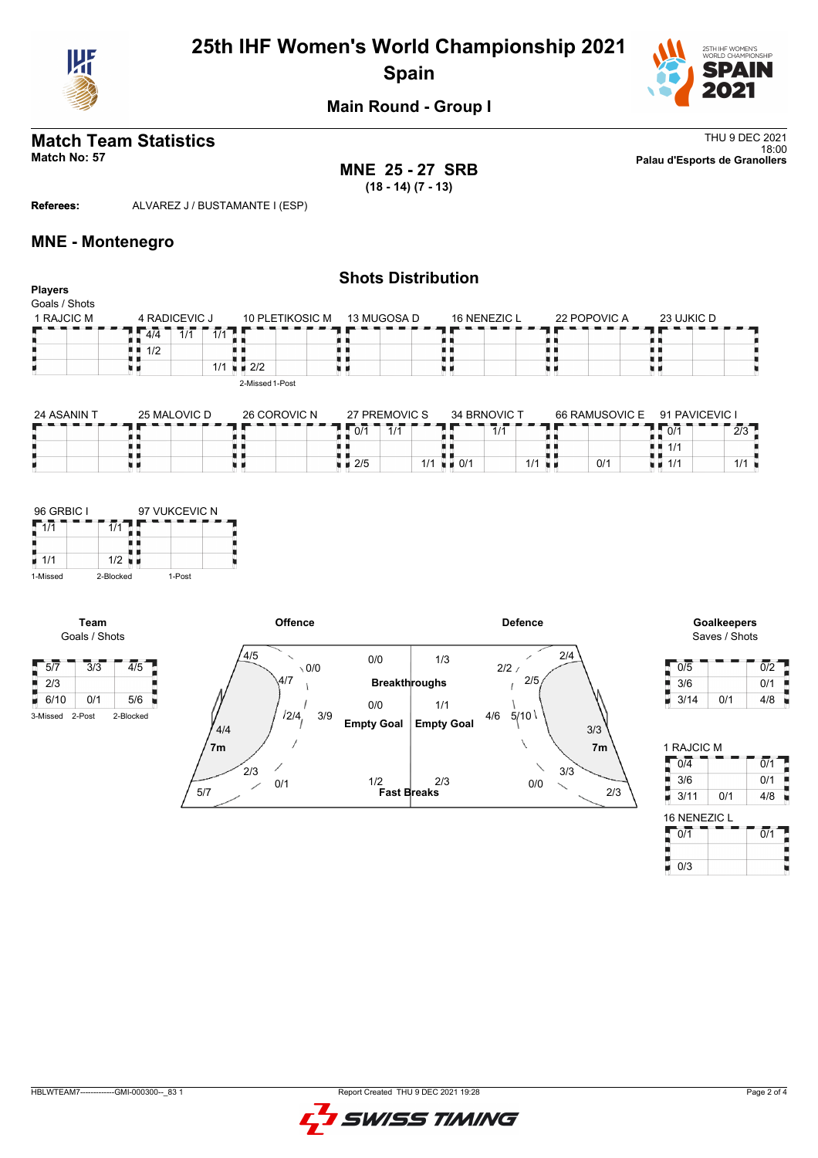

# **25th IHF Women's World Championship 2021 Spain**



**Main Round - Group I**

**MNE 25 - 27 SRB (18 - 14) (7 - 13)**

**Match Team Statistics** Thu 9 DEC 2021 18:00 **Match No: 57 Palau d'Esports de Granollers**

**Referees:** ALVAREZ J / BUSTAMANTE I (ESP)

### **MNE - Montenegro**

| <b>Players</b> | <b>Shots Distribution</b>      |                        |             |              |              |            |  |  |  |  |  |
|----------------|--------------------------------|------------------------|-------------|--------------|--------------|------------|--|--|--|--|--|
| Goals / Shots  |                                |                        |             |              |              |            |  |  |  |  |  |
| 1 RAJCIC M     | 4 RADICEVIC J                  | <b>10 PLETIKOSIC M</b> | 13 MUGOSA D | 16 NENEZIC L | 22 POPOVIC A | 23 UJKIC D |  |  |  |  |  |
|                | $\overline{1/1}$<br>4/4<br>1/1 |                        |             |              |              |            |  |  |  |  |  |
|                | 1/2<br>. .                     |                        |             |              |              |            |  |  |  |  |  |
|                |                                | $1/1 = 2/2$            |             |              |              |            |  |  |  |  |  |
|                |                                | 2-Missed 1-Post        |             |              |              |            |  |  |  |  |  |
|                |                                |                        |             |              |              |            |  |  |  |  |  |

| 24 ASANIN T | 25 MALOVIC D | 26 COROVIC N | 27 PREMOVIC S | 34 BRNOVIC T |     | 66 RAMUSOVIC E | 91 PAVICEVIC I     |                  |
|-------------|--------------|--------------|---------------|--------------|-----|----------------|--------------------|------------------|
|             |              |              | 0/1<br>A      | 1/1          |     |                | 0/1                | $\Omega$<br>ں رے |
|             |              |              |               |              |     |                | ! ■ 1/1            |                  |
|             |              |              | 12/5          | 111<br>0/1   | 1/1 | 0/1            | $\blacksquare$ 1/1 | $\mathbf{L}$     |



**Team**

 $\frac{1}{2}$  2/3

В





| 0/5  |     | 0/2 |
|------|-----|-----|
| 3/6  |     | 0/1 |
| 3/14 | 0/1 | 4/8 |

| 1 RAJCIC M       |     |                  |
|------------------|-----|------------------|
| $0/\overline{4}$ |     | $\overline{0/1}$ |
| 3/6              |     | 0/1              |
| 3/11             | 0/1 | 4/8              |
| 16 NENEZIC L     |     |                  |
| 0/1              |     | 0/1              |
|                  |     |                  |
|                  |     |                  |

| 0/1 | $\Omega$ /1 |
|-----|-------------|
|     |             |
| 0/3 |             |
|     |             |

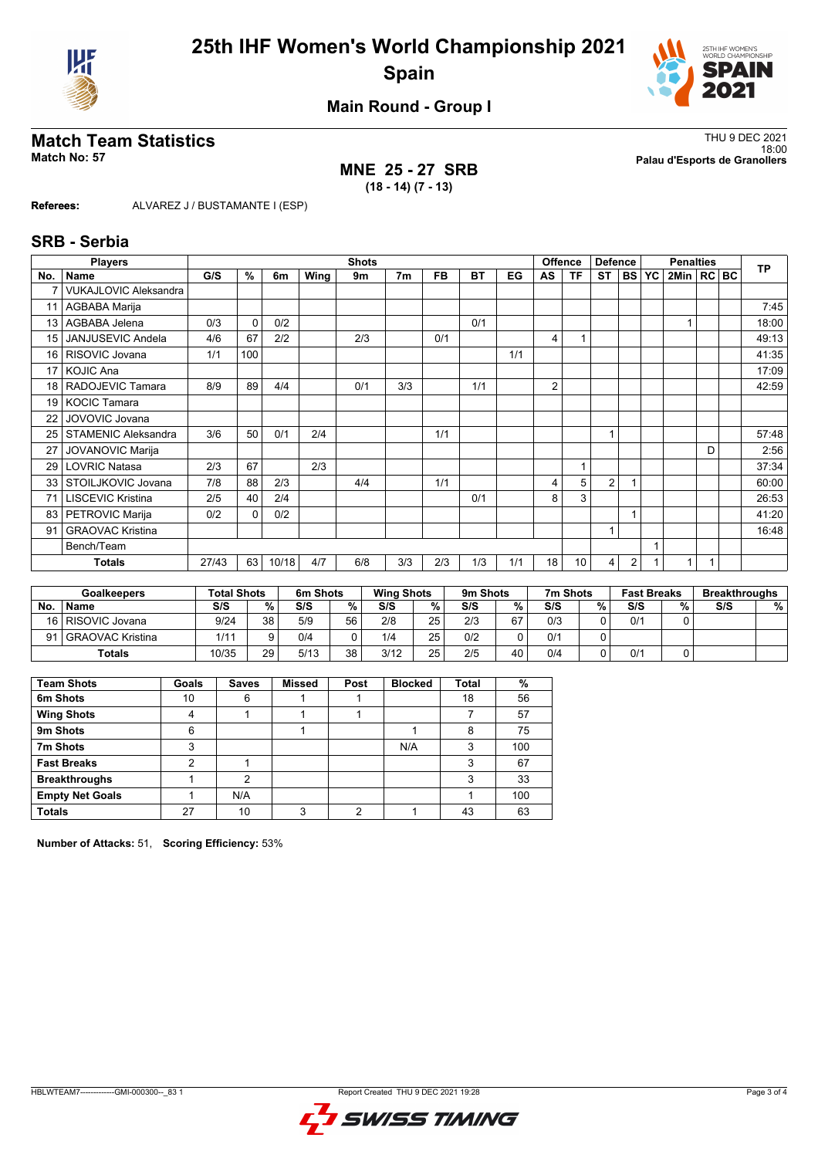



**Main Round - Group I**

## **MNE 25 - 27 SRB (18 - 14) (7 - 13)**

**Match Team Statistics** Thu 9 DEC 2021 18:00 **Match No: 57 Palau d'Esports de Granollers**

**Referees:** ALVAREZ J / BUSTAMANTE I (ESP)

### **SRB - Serbia**

|                 | <b>Players</b>               |       | <b>Shots</b> |       |      |     |                |           |     |     |                | <b>Offence</b><br><b>Defence</b> |                |           | <b>Penalties</b> |              |   |  | <b>TP</b> |
|-----------------|------------------------------|-------|--------------|-------|------|-----|----------------|-----------|-----|-----|----------------|----------------------------------|----------------|-----------|------------------|--------------|---|--|-----------|
| No.             | <b>Name</b>                  | G/S   | %            | 6m    | Wing | 9m  | 7 <sub>m</sub> | <b>FB</b> | BT  | EG  | AS             | ΤF                               | <b>ST</b>      | <b>BS</b> | <b>YC</b>        | 2Min   RC BC |   |  |           |
|                 | <b>VUKAJLOVIC Aleksandra</b> |       |              |       |      |     |                |           |     |     |                |                                  |                |           |                  |              |   |  |           |
| 11              | AGBABA Marija                |       |              |       |      |     |                |           |     |     |                |                                  |                |           |                  |              |   |  | 7:45      |
| 13 <sup>1</sup> | AGBABA Jelena                | 0/3   | 0            | 0/2   |      |     |                |           | 0/1 |     |                |                                  |                |           |                  |              |   |  | 18:00     |
| 15 <sup>1</sup> | JANJUSEVIC Andela            | 4/6   | 67           | 2/2   |      | 2/3 |                | 0/1       |     |     | 4              |                                  |                |           |                  |              |   |  | 49:13     |
| 16 <sup>1</sup> | RISOVIC Jovana               | 1/1   | 100          |       |      |     |                |           |     | 1/1 |                |                                  |                |           |                  |              |   |  | 41:35     |
| 17 <sup>1</sup> | <b>KOJIC Ana</b>             |       |              |       |      |     |                |           |     |     |                |                                  |                |           |                  |              |   |  | 17:09     |
| 18 <sup>1</sup> | RADOJEVIC Tamara             | 8/9   | 89           | 4/4   |      | 0/1 | 3/3            |           | 1/1 |     | $\overline{2}$ |                                  |                |           |                  |              |   |  | 42:59     |
| 19 <sup>1</sup> | <b>KOCIC Tamara</b>          |       |              |       |      |     |                |           |     |     |                |                                  |                |           |                  |              |   |  |           |
| 22              | JOVOVIC Jovana               |       |              |       |      |     |                |           |     |     |                |                                  |                |           |                  |              |   |  |           |
| 25              | <b>STAMENIC Aleksandra</b>   | 3/6   | 50           | 0/1   | 2/4  |     |                | 1/1       |     |     |                |                                  | 1              |           |                  |              |   |  | 57:48     |
| 27              | <b>JOVANOVIC Marija</b>      |       |              |       |      |     |                |           |     |     |                |                                  |                |           |                  |              | D |  | 2:56      |
| 29              | <b>LOVRIC Natasa</b>         | 2/3   | 67           |       | 2/3  |     |                |           |     |     |                |                                  |                |           |                  |              |   |  | 37:34     |
| 33 <sup>1</sup> | STOILJKOVIC Jovana           | 7/8   | 88           | 2/3   |      | 4/4 |                | 1/1       |     |     | 4              | 5                                | $\overline{2}$ |           |                  |              |   |  | 60:00     |
| 71              | <b>LISCEVIC Kristina</b>     | 2/5   | 40           | 2/4   |      |     |                |           | 0/1 |     | 8              | 3                                |                |           |                  |              |   |  | 26:53     |
| 83              | PETROVIC Marija              | 0/2   | $\Omega$     | 0/2   |      |     |                |           |     |     |                |                                  |                |           |                  |              |   |  | 41:20     |
| 91              | <b>GRAOVAC Kristina</b>      |       |              |       |      |     |                |           |     |     |                |                                  | 1              |           |                  |              |   |  | 16:48     |
|                 | Bench/Team                   |       |              |       |      |     |                |           |     |     |                |                                  |                |           |                  |              |   |  |           |
|                 | <b>Totals</b>                | 27/43 | 63           | 10/18 | 4/7  | 6/8 | 3/3            | 2/3       | 1/3 | 1/1 | 18             | 10                               | 4              | 2         |                  |              |   |  |           |

|           | <b>Goalkeepers</b>    | <b>Total Shots</b> |    | 6m Shots |    | <b>Wing Shots</b> |                 | 9m Shots |    | 7m Shots |    | <b>Fast Breaks</b> |   | <b>Breakthroughs</b> |   |
|-----------|-----------------------|--------------------|----|----------|----|-------------------|-----------------|----------|----|----------|----|--------------------|---|----------------------|---|
| <b>No</b> | <b>Name</b>           | S/S                | %  | S/S      | %  | S/S               | %               | S/S      | %  | S/S      | %. | S/S                | % | S/S                  | % |
|           | 16   RISOVIC Jovana   | 9/24               | 38 | 5/9      | 56 | 2/8               | 25              | 2/3      | 67 | 0/3      |    | 0/1                |   |                      |   |
|           | 91   GRAOVAC Kristina | 1/11               |    | 0/4      |    | 1/4               | 25              | 0/2      |    | 0/1      |    |                    |   |                      |   |
|           | Totals                | 10/35              | 29 | 5/13     | 38 | 3/12              | 25 <sub>1</sub> | 2/5      | 40 | 0/4      |    | 0/1                |   |                      |   |

| <b>Team Shots</b>      | Goals | <b>Saves</b> | <b>Missed</b> | Post | <b>Blocked</b> | <b>Total</b> | %   |
|------------------------|-------|--------------|---------------|------|----------------|--------------|-----|
| 6m Shots               | 10    | 6            |               |      |                | 18           | 56  |
| <b>Wing Shots</b>      | 4     |              |               |      |                |              | 57  |
| 9m Shots               | 6     |              |               |      |                | 8            | 75  |
| 7m Shots               | 3     |              |               |      | N/A            | 3            | 100 |
| <b>Fast Breaks</b>     | ົ     |              |               |      |                | 3            | 67  |
| <b>Breakthroughs</b>   |       | っ            |               |      |                | 3            | 33  |
| <b>Empty Net Goals</b> |       | N/A          |               |      |                |              | 100 |
| <b>Totals</b>          | 27    | 10           | 3             | ◠    |                | 43           | 63  |

**Number of Attacks:** 51, **Scoring Efficiency:** 53%